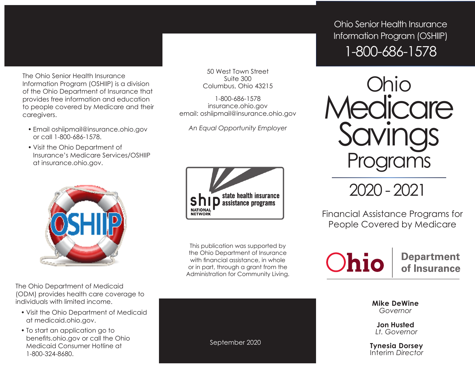The Ohio Senior Health Insurance Information Program (OSHIIP) is a division of the Ohio Department of Insurance that provides free information and education to people covered by Medicare and their caregivers.

- Email oshiipmail@insurance.ohio.gov or call 1-800-686-1578.
- Visit the Ohio Department of Insurance's Medicare Services/OSHIIP at insurance.ohio.gov.



The Ohio Department of Medicaid (ODM) provides health care coverage to individuals with limited income.

- Visit the Ohio Department of Medicaid at medicaid.ohio.gov.
- To start an application go to benefits.ohio.gov or call the Ohio Medicaid Consumer Hotline at 1-800-324-8680.

50 West Town Street Suite 300 Columbus, Ohio 43215

1-800-686-1578 insurance.ohio.gov email: oshiipmail@insurance.ohio.gov

*An Equal Opportunity Employer*



This publication was supported by the Ohio Department of Insurance with financial assistance, in whole or in part, through a grant from the Administration for Community Living.

Ohio Senior Health Insurance Information Program (OSHIIP) 1-800-686-1578



2020 - 2021

Financial Assistance Programs for People Covered by Medicare



**Department** of Insurance

**Mike DeWine** *Governor*

**Jon Husted** *Lt. Governor*

**Tynesia Dorsey**  Interim *Director*

September 2020